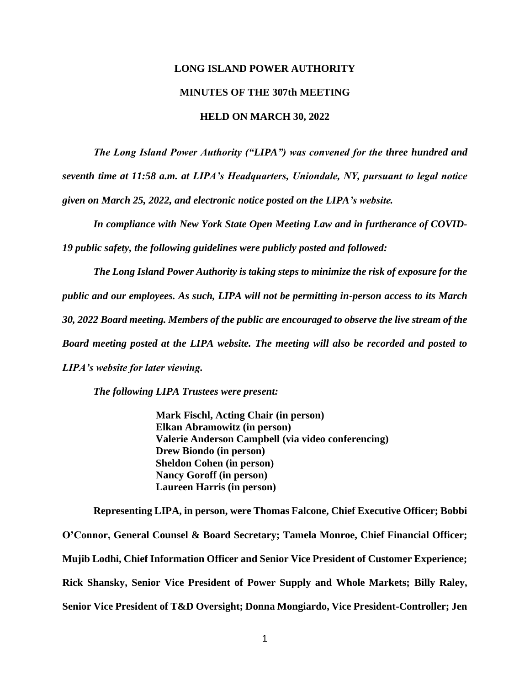# **LONG ISLAND POWER AUTHORITY MINUTES OF THE 307th MEETING HELD ON MARCH 30, 2022**

*The Long Island Power Authority ("LIPA") was convened for the three hundred and seventh time at 11:58 a.m. at LIPA's Headquarters, Uniondale, NY, pursuant to legal notice given on March 25, 2022, and electronic notice posted on the LIPA's website.*

*In compliance with New York State Open Meeting Law and in furtherance of COVID-19 public safety, the following guidelines were publicly posted and followed:*

*The Long Island Power Authority is taking steps to minimize the risk of exposure for the public and our employees. As such, LIPA will not be permitting in-person access to its March 30, 2022 Board meeting. Members of the public are encouraged to observe the live stream of the Board meeting posted at the LIPA website. The meeting will also be recorded and posted to LIPA's website for later viewing.*

*The following LIPA Trustees were present:*

**Mark Fischl, Acting Chair (in person) Elkan Abramowitz (in person) Valerie Anderson Campbell (via video conferencing) Drew Biondo (in person) Sheldon Cohen (in person) Nancy Goroff (in person) Laureen Harris (in person)**

**Representing LIPA, in person, were Thomas Falcone, Chief Executive Officer; Bobbi O'Connor, General Counsel & Board Secretary; Tamela Monroe, Chief Financial Officer; Mujib Lodhi, Chief Information Officer and Senior Vice President of Customer Experience; Rick Shansky, Senior Vice President of Power Supply and Whole Markets; Billy Raley, Senior Vice President of T&D Oversight; Donna Mongiardo, Vice President-Controller; Jen**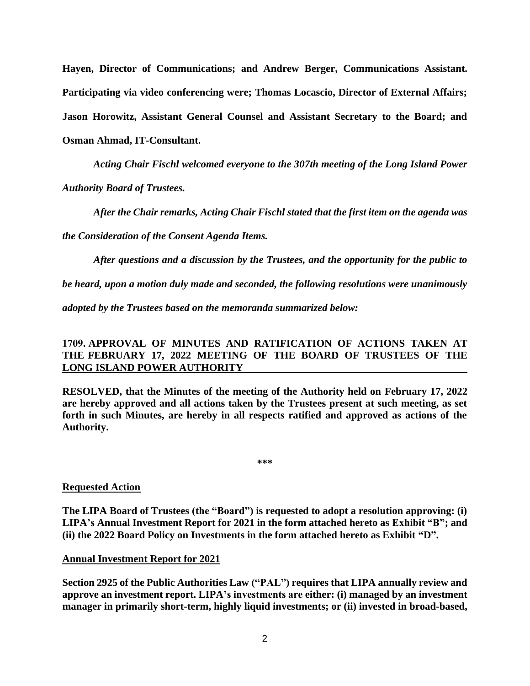**Hayen, Director of Communications; and Andrew Berger, Communications Assistant. Participating via video conferencing were; Thomas Locascio, Director of External Affairs; Jason Horowitz, Assistant General Counsel and Assistant Secretary to the Board; and Osman Ahmad, IT-Consultant.** 

*Acting Chair Fischl welcomed everyone to the 307th meeting of the Long Island Power* 

*Authority Board of Trustees.* 

*After the Chair remarks, Acting Chair Fischl stated that the first item on the agenda was* 

*the Consideration of the Consent Agenda Items.* 

*After questions and a discussion by the Trustees, and the opportunity for the public to* 

*be heard, upon a motion duly made and seconded, the following resolutions were unanimously* 

*adopted by the Trustees based on the memoranda summarized below:* 

# **1709. APPROVAL OF MINUTES AND RATIFICATION OF ACTIONS TAKEN AT THE FEBRUARY 17, 2022 MEETING OF THE BOARD OF TRUSTEES OF THE LONG ISLAND POWER AUTHORITY**

**RESOLVED, that the Minutes of the meeting of the Authority held on February 17, 2022 are hereby approved and all actions taken by the Trustees present at such meeting, as set forth in such Minutes, are hereby in all respects ratified and approved as actions of the Authority.**

**\*\*\***

#### **Requested Action**

**The LIPA Board of Trustees (the "Board") is requested to adopt a resolution approving: (i) LIPA's Annual Investment Report for 2021 in the form attached hereto as Exhibit "B"; and (ii) the 2022 Board Policy on Investments in the form attached hereto as Exhibit "D".**

#### **Annual Investment Report for 2021**

**Section 2925 of the Public Authorities Law ("PAL") requires that LIPA annually review and approve an investment report. LIPA's investments are either: (i) managed by an investment manager in primarily short-term, highly liquid investments; or (ii) invested in broad-based,**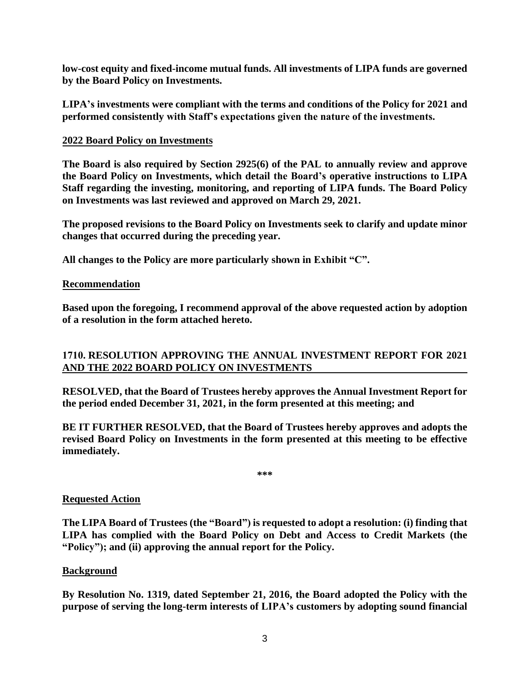**low-cost equity and fixed-income mutual funds. All investments of LIPA funds are governed by the Board Policy on Investments.** 

**LIPA's investments were compliant with the terms and conditions of the Policy for 2021 and performed consistently with Staff's expectations given the nature of the investments.**

# **2022 Board Policy on Investments**

**The Board is also required by Section 2925(6) of the PAL to annually review and approve the Board Policy on Investments, which detail the Board's operative instructions to LIPA Staff regarding the investing, monitoring, and reporting of LIPA funds. The Board Policy on Investments was last reviewed and approved on March 29, 2021.** 

**The proposed revisions to the Board Policy on Investments seek to clarify and update minor changes that occurred during the preceding year.** 

**All changes to the Policy are more particularly shown in Exhibit "C".** 

# **Recommendation**

**Based upon the foregoing, I recommend approval of the above requested action by adoption of a resolution in the form attached hereto.** 

# **1710. RESOLUTION APPROVING THE ANNUAL INVESTMENT REPORT FOR 2021 AND THE 2022 BOARD POLICY ON INVESTMENTS**

**RESOLVED, that the Board of Trustees hereby approves the Annual Investment Report for the period ended December 31, 2021, in the form presented at this meeting; and**

**BE IT FURTHER RESOLVED, that the Board of Trustees hereby approves and adopts the revised Board Policy on Investments in the form presented at this meeting to be effective immediately.**

**\*\*\***

# **Requested Action**

**The LIPA Board of Trustees (the "Board") is requested to adopt a resolution: (i) finding that LIPA has complied with the Board Policy on Debt and Access to Credit Markets (the "Policy"); and (ii) approving the annual report for the Policy.**

#### **Background**

**By Resolution No. 1319, dated September 21, 2016, the Board adopted the Policy with the purpose of serving the long-term interests of LIPA's customers by adopting sound financial**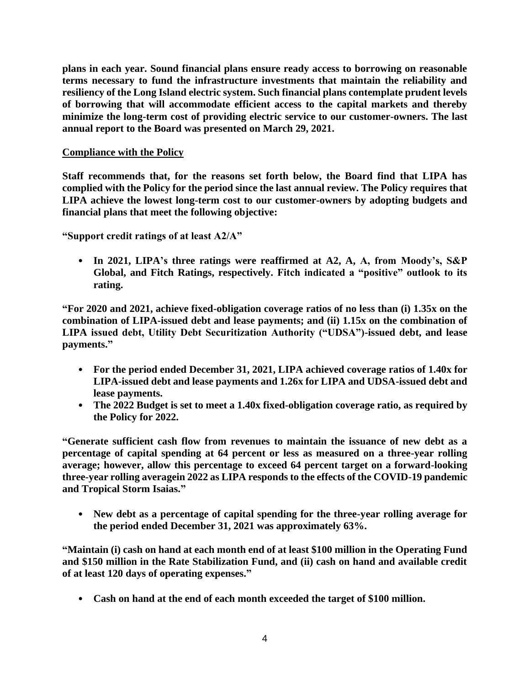**plans in each year. Sound financial plans ensure ready access to borrowing on reasonable terms necessary to fund the infrastructure investments that maintain the reliability and resiliency of the Long Island electric system. Such financial plans contemplate prudent levels of borrowing that will accommodate efficient access to the capital markets and thereby minimize the long-term cost of providing electric service to our customer-owners. The last annual report to the Board was presented on March 29, 2021.**

# **Compliance with the Policy**

**Staff recommends that, for the reasons set forth below, the Board find that LIPA has complied with the Policy for the period since the last annual review. The Policy requires that LIPA achieve the lowest long-term cost to our customer-owners by adopting budgets and financial plans that meet the following objective:**

**"Support credit ratings of at least A2/A"**

• **In 2021, LIPA's three ratings were reaffirmed at A2, A, A, from Moody's, S&P Global, and Fitch Ratings, respectively. Fitch indicated a "positive" outlook to its rating.**

**"For 2020 and 2021, achieve fixed-obligation coverage ratios of no less than (i) 1.35x on the combination of LIPA-issued debt and lease payments; and (ii) 1.15x on the combination of LIPA issued debt, Utility Debt Securitization Authority ("UDSA")-issued debt, and lease payments."**

- **For the period ended December 31, 2021, LIPA achieved coverage ratios of 1.40x for LIPA-issued debt and lease payments and 1.26x for LIPA and UDSA-issued debt and lease payments.**
- **The 2022 Budget is set to meet a 1.40x fixed-obligation coverage ratio, as required by the Policy for 2022.**

**"Generate sufficient cash flow from revenues to maintain the issuance of new debt as a percentage of capital spending at 64 percent or less as measured on a three-year rolling average; however, allow this percentage to exceed 64 percent target on a forward-looking three-year rolling averagein 2022 as LIPA responds to the effects of the COVID-19 pandemic and Tropical Storm Isaias."**

• **New debt as a percentage of capital spending for the three-year rolling average for the period ended December 31, 2021 was approximately 63%.**

**"Maintain (i) cash on hand at each month end of at least \$100 million in the Operating Fund and \$150 million in the Rate Stabilization Fund, and (ii) cash on hand and available credit of at least 120 days of operating expenses."**

• **Cash on hand at the end of each month exceeded the target of \$100 million.**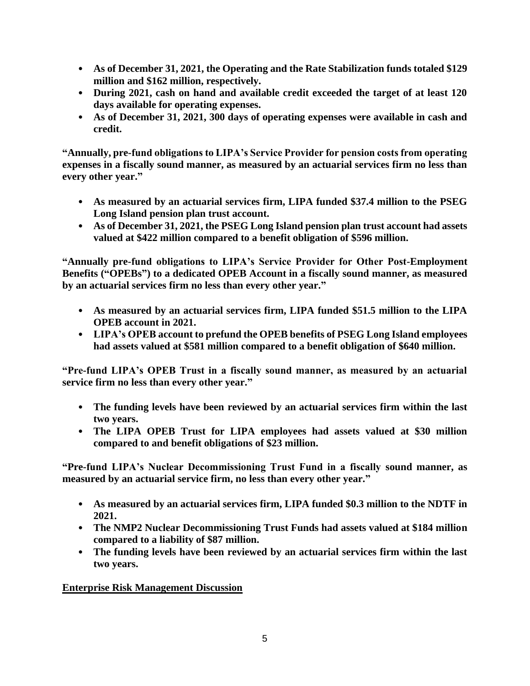- **As of December 31, 2021, the Operating and the Rate Stabilization funds totaled \$129 million and \$162 million, respectively.**
- **During 2021, cash on hand and available credit exceeded the target of at least 120 days available for operating expenses.**
- **As of December 31, 2021, 300 days of operating expenses were available in cash and credit.**

**"Annually, pre-fund obligations to LIPA's Service Provider for pension costs from operating expenses in a fiscally sound manner, as measured by an actuarial services firm no less than every other year."**

- **As measured by an actuarial services firm, LIPA funded \$37.4 million to the PSEG Long Island pension plan trust account.**
- **As of December 31, 2021, the PSEG Long Island pension plan trust account had assets valued at \$422 million compared to a benefit obligation of \$596 million.**

**"Annually pre-fund obligations to LIPA's Service Provider for Other Post-Employment Benefits ("OPEBs") to a dedicated OPEB Account in a fiscally sound manner, as measured by an actuarial services firm no less than every other year."**

- **As measured by an actuarial services firm, LIPA funded \$51.5 million to the LIPA OPEB account in 2021.**
- **LIPA's OPEB account to prefund the OPEB benefits of PSEG Long Island employees had assets valued at \$581 million compared to a benefit obligation of \$640 million.**

**"Pre-fund LIPA's OPEB Trust in a fiscally sound manner, as measured by an actuarial service firm no less than every other year."**

- **The funding levels have been reviewed by an actuarial services firm within the last two years.**
- **The LIPA OPEB Trust for LIPA employees had assets valued at \$30 million compared to and benefit obligations of \$23 million.**

**"Pre-fund LIPA's Nuclear Decommissioning Trust Fund in a fiscally sound manner, as measured by an actuarial service firm, no less than every other year."**

- **As measured by an actuarial services firm, LIPA funded \$0.3 million to the NDTF in 2021.**
- **The NMP2 Nuclear Decommissioning Trust Funds had assets valued at \$184 million compared to a liability of \$87 million.**
- **The funding levels have been reviewed by an actuarial services firm within the last two years.**

**Enterprise Risk Management Discussion**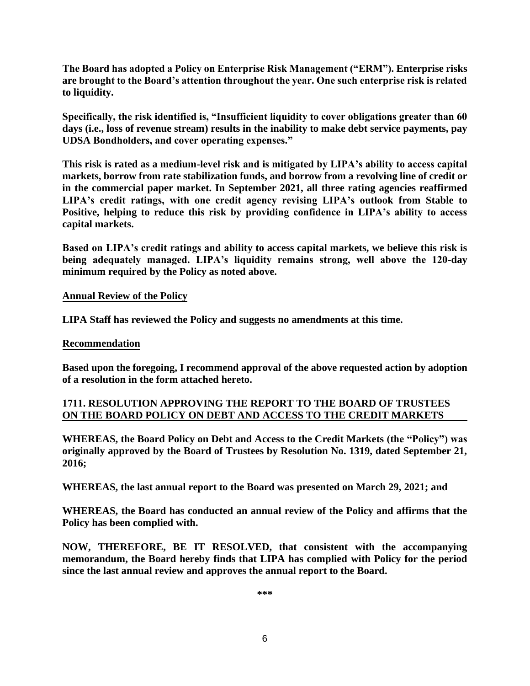**The Board has adopted a Policy on Enterprise Risk Management ("ERM"). Enterprise risks are brought to the Board's attention throughout the year. One such enterprise risk is related to liquidity.** 

**Specifically, the risk identified is, "Insufficient liquidity to cover obligations greater than 60 days (i.e., loss of revenue stream) results in the inability to make debt service payments, pay UDSA Bondholders, and cover operating expenses."**

**This risk is rated as a medium-level risk and is mitigated by LIPA's ability to access capital markets, borrow from rate stabilization funds, and borrow from a revolving line of credit or in the commercial paper market. In September 2021, all three rating agencies reaffirmed LIPA's credit ratings, with one credit agency revising LIPA's outlook from Stable to Positive, helping to reduce this risk by providing confidence in LIPA's ability to access capital markets.** 

**Based on LIPA's credit ratings and ability to access capital markets, we believe this risk is being adequately managed. LIPA's liquidity remains strong, well above the 120-day minimum required by the Policy as noted above.** 

# **Annual Review of the Policy**

**LIPA Staff has reviewed the Policy and suggests no amendments at this time.** 

#### **Recommendation**

**Based upon the foregoing, I recommend approval of the above requested action by adoption of a resolution in the form attached hereto.** 

# **1711. RESOLUTION APPROVING THE REPORT TO THE BOARD OF TRUSTEES ON THE BOARD POLICY ON DEBT AND ACCESS TO THE CREDIT MARKETS**

**WHEREAS, the Board Policy on Debt and Access to the Credit Markets (the "Policy") was originally approved by the Board of Trustees by Resolution No. 1319, dated September 21, 2016;**

**WHEREAS, the last annual report to the Board was presented on March 29, 2021; and**

**WHEREAS, the Board has conducted an annual review of the Policy and affirms that the Policy has been complied with.**

**NOW, THEREFORE, BE IT RESOLVED, that consistent with the accompanying memorandum, the Board hereby finds that LIPA has complied with Policy for the period since the last annual review and approves the annual report to the Board.**

**\*\*\***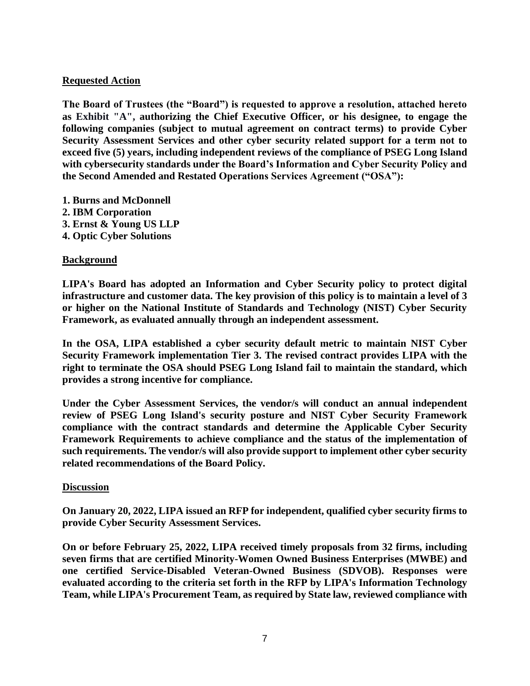# **Requested Action**

**The Board of Trustees (the "Board") is requested to approve a resolution, attached hereto as Exhibit "A", authorizing the Chief Executive Officer, or his designee, to engage the following companies (subject to mutual agreement on contract terms) to provide Cyber Security Assessment Services and other cyber security related support for a term not to exceed five (5) years, including independent reviews of the compliance of PSEG Long Island with cybersecurity standards under the Board's Information and Cyber Security Policy and the Second Amended and Restated Operations Services Agreement ("OSA"):**

- **1. Burns and McDonnell**
- **2. IBM Corporation**
- **3. Ernst & Young US LLP**
- **4. Optic Cyber Solutions**

# **Background**

**LIPA's Board has adopted an Information and Cyber Security policy to protect digital infrastructure and customer data. The key provision of this policy is to maintain a level of 3 or higher on the National Institute of Standards and Technology (NIST) Cyber Security Framework, as evaluated annually through an independent assessment.**

**In the OSA, LIPA established a cyber security default metric to maintain NIST Cyber Security Framework implementation Tier 3. The revised contract provides LIPA with the right to terminate the OSA should PSEG Long Island fail to maintain the standard, which provides a strong incentive for compliance.**

**Under the Cyber Assessment Services, the vendor/s will conduct an annual independent review of PSEG Long Island's security posture and NIST Cyber Security Framework compliance with the contract standards and determine the Applicable Cyber Security Framework Requirements to achieve compliance and the status of the implementation of such requirements. The vendor/s will also provide support to implement other cyber security related recommendations of the Board Policy.**

# **Discussion**

**On January 20, 2022, LIPA issued an RFP for independent, qualified cyber security firms to provide Cyber Security Assessment Services.**

**On or before February 25, 2022, LIPA received timely proposals from 32 firms, including seven firms that are certified Minority-Women Owned Business Enterprises (MWBE) and one certified Service-Disabled Veteran-Owned Business (SDVOB). Responses were evaluated according to the criteria set forth in the RFP by LIPA's Information Technology Team, while LIPA's Procurement Team, as required by State law, reviewed compliance with**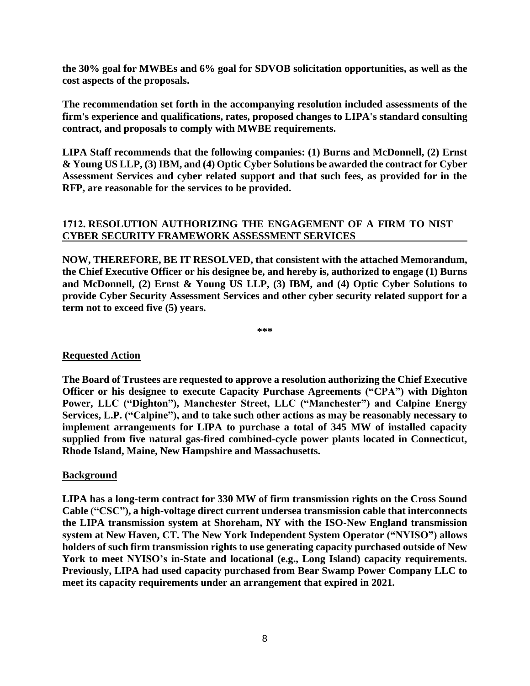**the 30% goal for MWBEs and 6% goal for SDVOB solicitation opportunities, as well as the cost aspects of the proposals.** 

**The recommendation set forth in the accompanying resolution included assessments of the firm's experience and qualifications, rates, proposed changes to LIPA's standard consulting contract, and proposals to comply with MWBE requirements.** 

**LIPA Staff recommends that the following companies: (1) Burns and McDonnell, (2) Ernst & Young US LLP, (3)IBM, and (4) Optic Cyber Solutions be awarded the contract for Cyber Assessment Services and cyber related support and that such fees, as provided for in the RFP, are reasonable for the services to be provided.** 

# **1712. RESOLUTION AUTHORIZING THE ENGAGEMENT OF A FIRM TO NIST CYBER SECURITY FRAMEWORK ASSESSMENT SERVICES**

**NOW, THEREFORE, BE IT RESOLVED, that consistent with the attached Memorandum, the Chief Executive Officer or his designee be, and hereby is, authorized to engage (1) Burns and McDonnell, (2) Ernst & Young US LLP, (3) IBM, and (4) Optic Cyber Solutions to provide Cyber Security Assessment Services and other cyber security related support for a term not to exceed five (5) years.**

**\*\*\***

# **Requested Action**

**The Board of Trustees are requested to approve a resolution authorizing the Chief Executive Officer or his designee to execute Capacity Purchase Agreements ("CPA") with Dighton Power, LLC ("Dighton"), Manchester Street, LLC ("Manchester") and Calpine Energy Services, L.P. ("Calpine"), and to take such other actions as may be reasonably necessary to implement arrangements for LIPA to purchase a total of 345 MW of installed capacity supplied from five natural gas-fired combined-cycle power plants located in Connecticut, Rhode Island, Maine, New Hampshire and Massachusetts.**

# **Background**

**LIPA has a long-term contract for 330 MW of firm transmission rights on the Cross Sound Cable ("CSC"), a high-voltage direct current undersea transmission cable that interconnects the LIPA transmission system at Shoreham, NY with the ISO-New England transmission system at New Haven, CT. The New York Independent System Operator ("NYISO") allows holders of such firm transmission rights to use generating capacity purchased outside of New York to meet NYISO's in-State and locational (e.g., Long Island) capacity requirements. Previously, LIPA had used capacity purchased from Bear Swamp Power Company LLC to meet its capacity requirements under an arrangement that expired in 2021.**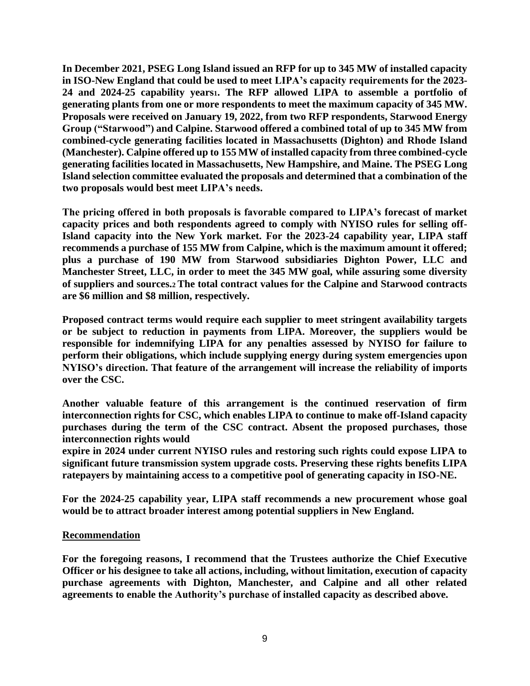**In December 2021, PSEG Long Island issued an RFP for up to 345 MW of installed capacity in ISO-New England that could be used to meet LIPA's capacity requirements for the 2023- 24 and 2024-25 capability years1. The RFP allowed LIPA to assemble a portfolio of generating plants from one or more respondents to meet the maximum capacity of 345 MW. Proposals were received on January 19, 2022, from two RFP respondents, Starwood Energy Group ("Starwood") and Calpine. Starwood offered a combined total of up to 345 MW from combined-cycle generating facilities located in Massachusetts (Dighton) and Rhode Island (Manchester). Calpine offered up to 155 MW of installed capacity from three combined-cycle generating facilities located in Massachusetts, New Hampshire, and Maine. The PSEG Long Island selection committee evaluated the proposals and determined that a combination of the two proposals would best meet LIPA's needs.**

**The pricing offered in both proposals is favorable compared to LIPA's forecast of market capacity prices and both respondents agreed to comply with NYISO rules for selling off-Island capacity into the New York market. For the 2023-24 capability year, LIPA staff recommends a purchase of 155 MW from Calpine, which is the maximum amount it offered; plus a purchase of 190 MW from Starwood subsidiaries Dighton Power, LLC and Manchester Street, LLC, in order to meet the 345 MW goal, while assuring some diversity of suppliers and sources.2 The total contract values for the Calpine and Starwood contracts are \$6 million and \$8 million, respectively.**

**Proposed contract terms would require each supplier to meet stringent availability targets or be subject to reduction in payments from LIPA. Moreover, the suppliers would be responsible for indemnifying LIPA for any penalties assessed by NYISO for failure to perform their obligations, which include supplying energy during system emergencies upon NYISO's direction. That feature of the arrangement will increase the reliability of imports over the CSC.**

**Another valuable feature of this arrangement is the continued reservation of firm interconnection rights for CSC, which enables LIPA to continue to make off-Island capacity purchases during the term of the CSC contract. Absent the proposed purchases, those interconnection rights would**

**expire in 2024 under current NYISO rules and restoring such rights could expose LIPA to significant future transmission system upgrade costs. Preserving these rights benefits LIPA ratepayers by maintaining access to a competitive pool of generating capacity in ISO-NE.**

**For the 2024-25 capability year, LIPA staff recommends a new procurement whose goal would be to attract broader interest among potential suppliers in New England.**

# **Recommendation**

**For the foregoing reasons, I recommend that the Trustees authorize the Chief Executive Officer or his designee to take all actions, including, without limitation, execution of capacity purchase agreements with Dighton, Manchester, and Calpine and all other related agreements to enable the Authority's purchase of installed capacity as described above.**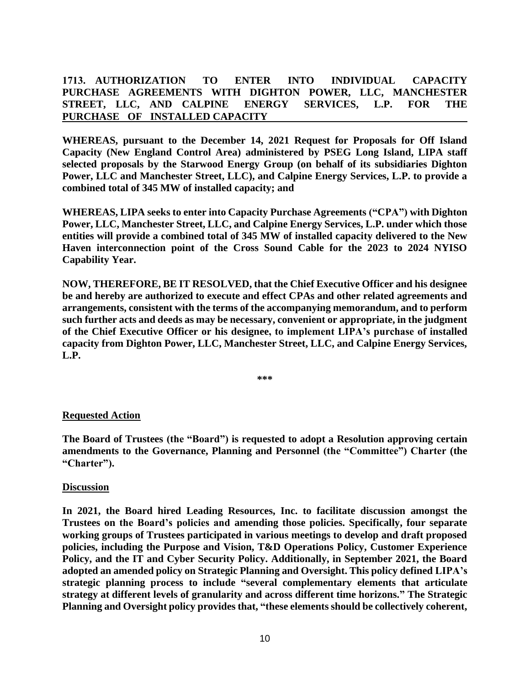# **1713. AUTHORIZATION TO ENTER INTO INDIVIDUAL CAPACITY PURCHASE AGREEMENTS WITH DIGHTON POWER, LLC, MANCHESTER STREET, LLC, AND CALPINE ENERGY SERVICES, L.P. FOR THE PURCHASE OF INSTALLED CAPACITY**

**WHEREAS, pursuant to the December 14, 2021 Request for Proposals for Off Island Capacity (New England Control Area) administered by PSEG Long Island, LIPA staff selected proposals by the Starwood Energy Group (on behalf of its subsidiaries Dighton Power, LLC and Manchester Street, LLC), and Calpine Energy Services, L.P. to provide a combined total of 345 MW of installed capacity; and**

**WHEREAS, LIPA seeks to enter into Capacity Purchase Agreements ("CPA") with Dighton Power, LLC, Manchester Street, LLC, and Calpine Energy Services, L.P. under which those entities will provide a combined total of 345 MW of installed capacity delivered to the New Haven interconnection point of the Cross Sound Cable for the 2023 to 2024 NYISO Capability Year.**

**NOW, THEREFORE, BE IT RESOLVED, that the Chief Executive Officer and his designee be and hereby are authorized to execute and effect CPAs and other related agreements and arrangements, consistent with the terms of the accompanying memorandum, and to perform such further acts and deeds as may be necessary, convenient or appropriate, in the judgment of the Chief Executive Officer or his designee, to implement LIPA's purchase of installed capacity from Dighton Power, LLC, Manchester Street, LLC, and Calpine Energy Services, L.P.**

**\*\*\***

# **Requested Action**

**The Board of Trustees (the "Board") is requested to adopt a Resolution approving certain amendments to the Governance, Planning and Personnel (the "Committee") Charter (the "Charter").**

#### **Discussion**

**In 2021, the Board hired Leading Resources, Inc. to facilitate discussion amongst the Trustees on the Board's policies and amending those policies. Specifically, four separate working groups of Trustees participated in various meetings to develop and draft proposed policies, including the Purpose and Vision, T&D Operations Policy, Customer Experience Policy, and the IT and Cyber Security Policy. Additionally, in September 2021, the Board adopted an amended policy on Strategic Planning and Oversight. This policy defined LIPA's strategic planning process to include "several complementary elements that articulate strategy at different levels of granularity and across different time horizons." The Strategic Planning and Oversight policy provides that, "these elements should be collectively coherent,**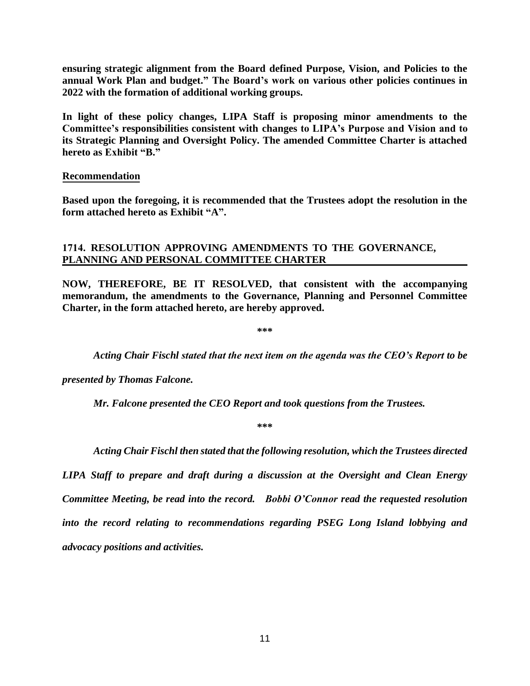**ensuring strategic alignment from the Board defined Purpose, Vision, and Policies to the annual Work Plan and budget." The Board's work on various other policies continues in 2022 with the formation of additional working groups.** 

**In light of these policy changes, LIPA Staff is proposing minor amendments to the Committee's responsibilities consistent with changes to LIPA's Purpose and Vision and to its Strategic Planning and Oversight Policy. The amended Committee Charter is attached hereto as Exhibit "B."**

### **Recommendation**

**Based upon the foregoing, it is recommended that the Trustees adopt the resolution in the form attached hereto as Exhibit "A".** 

# **1714. RESOLUTION APPROVING AMENDMENTS TO THE GOVERNANCE, PLANNING AND PERSONAL COMMITTEE CHARTER**

**NOW, THEREFORE, BE IT RESOLVED, that consistent with the accompanying memorandum, the amendments to the Governance, Planning and Personnel Committee Charter, in the form attached hereto, are hereby approved.**

**\*\*\***

*Acting Chair Fischl stated that the next item on the agenda was the CEO's Report to be* 

*presented by Thomas Falcone.*

*Mr. Falcone presented the CEO Report and took questions from the Trustees.*

**\*\*\***

*Acting Chair Fischl then stated that the following resolution, which the Trustees directed* 

*LIPA Staff to prepare and draft during a discussion at the Oversight and Clean Energy Committee Meeting, be read into the record. Bobbi O'Connor read the requested resolution into the record relating to recommendations regarding PSEG Long Island lobbying and advocacy positions and activities.*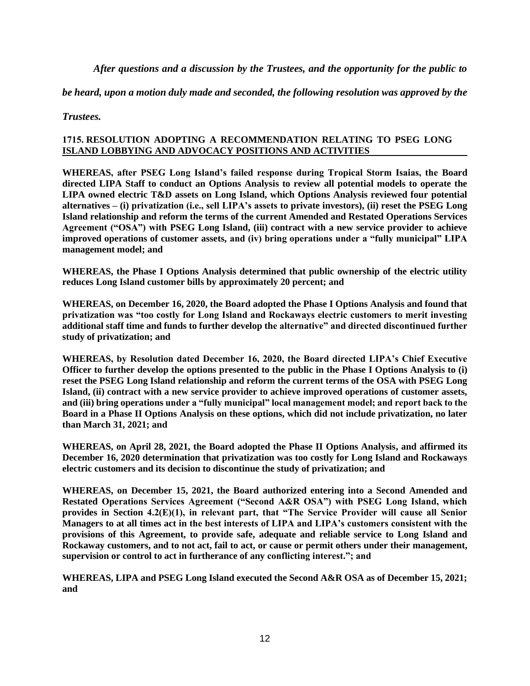*After questions and a discussion by the Trustees, and the opportunity for the public to* 

*be heard, upon a motion duly made and seconded, the following resolution was approved by the* 

*Trustees.* 

#### **1715. RESOLUTION ADOPTING A RECOMMENDATION RELATING TO PSEG LONG ISLAND LOBBYING AND ADVOCACY POSITIONS AND ACTIVITIES**

**WHEREAS, after PSEG Long Island's failed response during Tropical Storm Isaias, the Board directed LIPA Staff to conduct an Options Analysis to review all potential models to operate the LIPA owned electric T&D assets on Long Island, which Options Analysis reviewed four potential alternatives – (i) privatization (i.e., sell LIPA's assets to private investors), (ii) reset the PSEG Long Island relationship and reform the terms of the current Amended and Restated Operations Services Agreement ("OSA") with PSEG Long Island, (iii) contract with a new service provider to achieve improved operations of customer assets, and (iv) bring operations under a "fully municipal" LIPA management model; and**

**WHEREAS, the Phase I Options Analysis determined that public ownership of the electric utility reduces Long Island customer bills by approximately 20 percent; and**

**WHEREAS, on December 16, 2020, the Board adopted the Phase I Options Analysis and found that privatization was "too costly for Long Island and Rockaways electric customers to merit investing additional staff time and funds to further develop the alternative" and directed discontinued further study of privatization; and**

**WHEREAS, by Resolution dated December 16, 2020, the Board directed LIPA's Chief Executive Officer to further develop the options presented to the public in the Phase I Options Analysis to (i) reset the PSEG Long Island relationship and reform the current terms of the OSA with PSEG Long Island, (ii) contract with a new service provider to achieve improved operations of customer assets, and (iii) bring operations under a "fully municipal" local management model; and report back to the Board in a Phase II Options Analysis on these options, which did not include privatization, no later than March 31, 2021; and**

**WHEREAS, on April 28, 2021, the Board adopted the Phase II Options Analysis, and affirmed its December 16, 2020 determination that privatization was too costly for Long Island and Rockaways electric customers and its decision to discontinue the study of privatization; and**

**WHEREAS, on December 15, 2021, the Board authorized entering into a Second Amended and Restated Operations Services Agreement ("Second A&R OSA") with PSEG Long Island, which provides in Section 4.2(E)(1), in relevant part, that "The Service Provider will cause all Senior Managers to at all times act in the best interests of LIPA and LIPA's customers consistent with the provisions of this Agreement, to provide safe, adequate and reliable service to Long Island and Rockaway customers, and to not act, fail to act, or cause or permit others under their management, supervision or control to act in furtherance of any conflicting interest."; and**

**WHEREAS, LIPA and PSEG Long Island executed the Second A&R OSA as of December 15, 2021; and**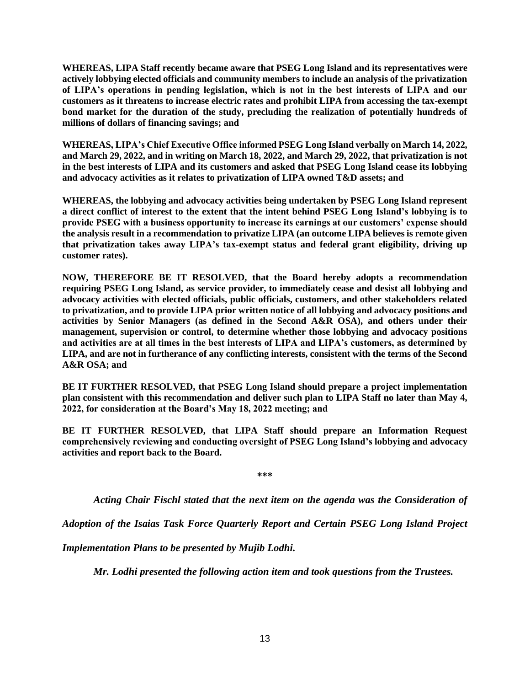**WHEREAS, LIPA Staff recently became aware that PSEG Long Island and its representatives were actively lobbying elected officials and community members to include an analysis of the privatization of LIPA's operations in pending legislation, which is not in the best interests of LIPA and our customers as it threatens to increase electric rates and prohibit LIPA from accessing the tax-exempt bond market for the duration of the study, precluding the realization of potentially hundreds of millions of dollars of financing savings; and**

**WHEREAS, LIPA's Chief Executive Office informed PSEG Long Island verbally on March 14, 2022, and March 29, 2022, and in writing on March 18, 2022, and March 29, 2022, that privatization is not in the best interests of LIPA and its customers and asked that PSEG Long Island cease its lobbying and advocacy activities as it relates to privatization of LIPA owned T&D assets; and**

**WHEREAS, the lobbying and advocacy activities being undertaken by PSEG Long Island represent a direct conflict of interest to the extent that the intent behind PSEG Long Island's lobbying is to provide PSEG with a business opportunity to increase its earnings at our customers' expense should the analysis result in a recommendation to privatize LIPA (an outcome LIPA believes is remote given that privatization takes away LIPA's tax-exempt status and federal grant eligibility, driving up customer rates).**

**NOW, THEREFORE BE IT RESOLVED, that the Board hereby adopts a recommendation requiring PSEG Long Island, as service provider, to immediately cease and desist all lobbying and advocacy activities with elected officials, public officials, customers, and other stakeholders related to privatization, and to provide LIPA prior written notice of all lobbying and advocacy positions and activities by Senior Managers (as defined in the Second A&R OSA), and others under their management, supervision or control, to determine whether those lobbying and advocacy positions and activities are at all times in the best interests of LIPA and LIPA's customers, as determined by LIPA, and are not in furtherance of any conflicting interests, consistent with the terms of the Second A&R OSA; and**

**BE IT FURTHER RESOLVED, that PSEG Long Island should prepare a project implementation plan consistent with this recommendation and deliver such plan to LIPA Staff no later than May 4, 2022, for consideration at the Board's May 18, 2022 meeting; and**

**BE IT FURTHER RESOLVED, that LIPA Staff should prepare an Information Request comprehensively reviewing and conducting oversight of PSEG Long Island's lobbying and advocacy activities and report back to the Board.**

**\*\*\***

*Acting Chair Fischl stated that the next item on the agenda was the Consideration of* 

*Adoption of the Isaias Task Force Quarterly Report and Certain PSEG Long Island Project* 

*Implementation Plans to be presented by Mujib Lodhi.*

*Mr. Lodhi presented the following action item and took questions from the Trustees.*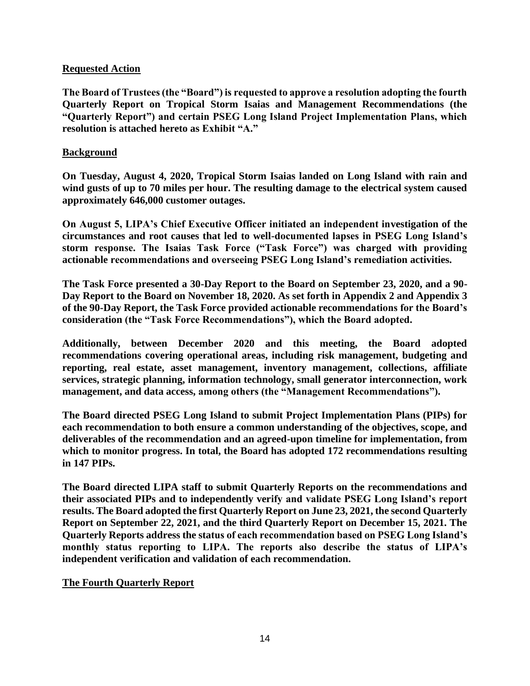# **Requested Action**

**The Board of Trustees (the "Board") is requested to approve a resolution adopting the fourth Quarterly Report on Tropical Storm Isaias and Management Recommendations (the "Quarterly Report") and certain PSEG Long Island Project Implementation Plans, which resolution is attached hereto as Exhibit "A."**

# **Background**

**On Tuesday, August 4, 2020, Tropical Storm Isaias landed on Long Island with rain and wind gusts of up to 70 miles per hour. The resulting damage to the electrical system caused approximately 646,000 customer outages.**

**On August 5, LIPA's Chief Executive Officer initiated an independent investigation of the circumstances and root causes that led to well-documented lapses in PSEG Long Island's storm response. The Isaias Task Force ("Task Force") was charged with providing actionable recommendations and overseeing PSEG Long Island's remediation activities.**

**The Task Force presented a 30-Day Report to the Board on September 23, 2020, and a 90- Day Report to the Board on November 18, 2020. As set forth in Appendix 2 and Appendix 3 of the 90-Day Report, the Task Force provided actionable recommendations for the Board's consideration (the "Task Force Recommendations"), which the Board adopted.**

**Additionally, between December 2020 and this meeting, the Board adopted recommendations covering operational areas, including risk management, budgeting and reporting, real estate, asset management, inventory management, collections, affiliate services, strategic planning, information technology, small generator interconnection, work management, and data access, among others (the "Management Recommendations").**

**The Board directed PSEG Long Island to submit Project Implementation Plans (PIPs) for each recommendation to both ensure a common understanding of the objectives, scope, and deliverables of the recommendation and an agreed-upon timeline for implementation, from which to monitor progress. In total, the Board has adopted 172 recommendations resulting in 147 PIPs.**

**The Board directed LIPA staff to submit Quarterly Reports on the recommendations and their associated PIPs and to independently verify and validate PSEG Long Island's report results. The Board adopted the first Quarterly Report on June 23, 2021, the second Quarterly Report on September 22, 2021, and the third Quarterly Report on December 15, 2021. The Quarterly Reports address the status of each recommendation based on PSEG Long Island's monthly status reporting to LIPA. The reports also describe the status of LIPA's independent verification and validation of each recommendation.**

# **The Fourth Quarterly Report**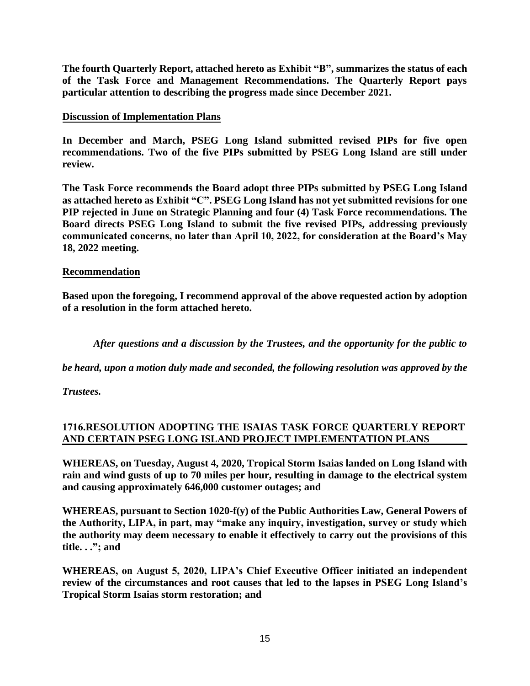**The fourth Quarterly Report, attached hereto as Exhibit "B", summarizes the status of each of the Task Force and Management Recommendations. The Quarterly Report pays particular attention to describing the progress made since December 2021.** 

# **Discussion of Implementation Plans**

**In December and March, PSEG Long Island submitted revised PIPs for five open recommendations. Two of the five PIPs submitted by PSEG Long Island are still under review.** 

**The Task Force recommends the Board adopt three PIPs submitted by PSEG Long Island as attached hereto as Exhibit "C". PSEG Long Island has not yet submitted revisions for one PIP rejected in June on Strategic Planning and four (4) Task Force recommendations. The Board directs PSEG Long Island to submit the five revised PIPs, addressing previously communicated concerns, no later than April 10, 2022, for consideration at the Board's May 18, 2022 meeting.** 

# **Recommendation**

**Based upon the foregoing, I recommend approval of the above requested action by adoption of a resolution in the form attached hereto.** 

*After questions and a discussion by the Trustees, and the opportunity for the public to* 

*be heard, upon a motion duly made and seconded, the following resolution was approved by the* 

*Trustees.* 

# **1716.RESOLUTION ADOPTING THE ISAIAS TASK FORCE QUARTERLY REPORT AND CERTAIN PSEG LONG ISLAND PROJECT IMPLEMENTATION PLANS**

**WHEREAS, on Tuesday, August 4, 2020, Tropical Storm Isaias landed on Long Island with rain and wind gusts of up to 70 miles per hour, resulting in damage to the electrical system and causing approximately 646,000 customer outages; and**

**WHEREAS, pursuant to Section 1020-f(y) of the Public Authorities Law, General Powers of the Authority, LIPA, in part, may "make any inquiry, investigation, survey or study which the authority may deem necessary to enable it effectively to carry out the provisions of this title. . ."; and**

**WHEREAS, on August 5, 2020, LIPA's Chief Executive Officer initiated an independent review of the circumstances and root causes that led to the lapses in PSEG Long Island's Tropical Storm Isaias storm restoration; and**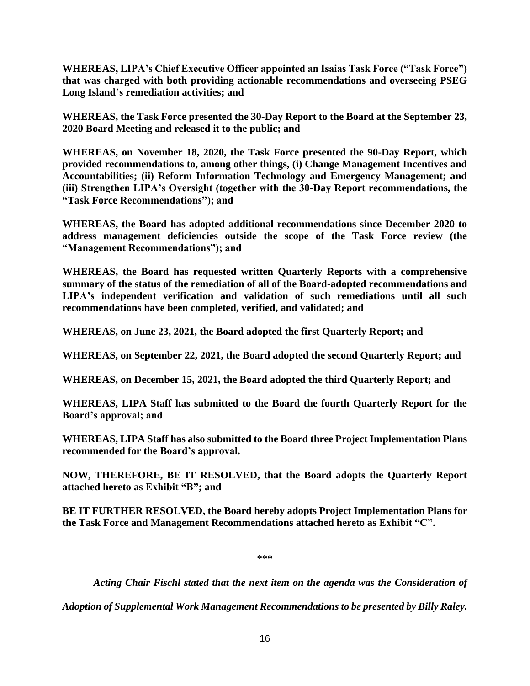**WHEREAS, LIPA's Chief Executive Officer appointed an Isaias Task Force ("Task Force") that was charged with both providing actionable recommendations and overseeing PSEG Long Island's remediation activities; and**

**WHEREAS, the Task Force presented the 30-Day Report to the Board at the September 23, 2020 Board Meeting and released it to the public; and**

**WHEREAS, on November 18, 2020, the Task Force presented the 90-Day Report, which provided recommendations to, among other things, (i) Change Management Incentives and Accountabilities; (ii) Reform Information Technology and Emergency Management; and (iii) Strengthen LIPA's Oversight (together with the 30-Day Report recommendations, the "Task Force Recommendations"); and**

**WHEREAS, the Board has adopted additional recommendations since December 2020 to address management deficiencies outside the scope of the Task Force review (the "Management Recommendations"); and**

**WHEREAS, the Board has requested written Quarterly Reports with a comprehensive summary of the status of the remediation of all of the Board-adopted recommendations and LIPA's independent verification and validation of such remediations until all such recommendations have been completed, verified, and validated; and**

**WHEREAS, on June 23, 2021, the Board adopted the first Quarterly Report; and**

**WHEREAS, on September 22, 2021, the Board adopted the second Quarterly Report; and**

**WHEREAS, on December 15, 2021, the Board adopted the third Quarterly Report; and**

**WHEREAS, LIPA Staff has submitted to the Board the fourth Quarterly Report for the Board's approval; and**

**WHEREAS, LIPA Staff has also submitted to the Board three Project Implementation Plans recommended for the Board's approval.**

**NOW, THEREFORE, BE IT RESOLVED, that the Board adopts the Quarterly Report attached hereto as Exhibit "B"; and**

**BE IT FURTHER RESOLVED, the Board hereby adopts Project Implementation Plans for the Task Force and Management Recommendations attached hereto as Exhibit "C".**

**\*\*\***

*Acting Chair Fischl stated that the next item on the agenda was the Consideration of* 

*Adoption of Supplemental Work Management Recommendations to be presented by Billy Raley.*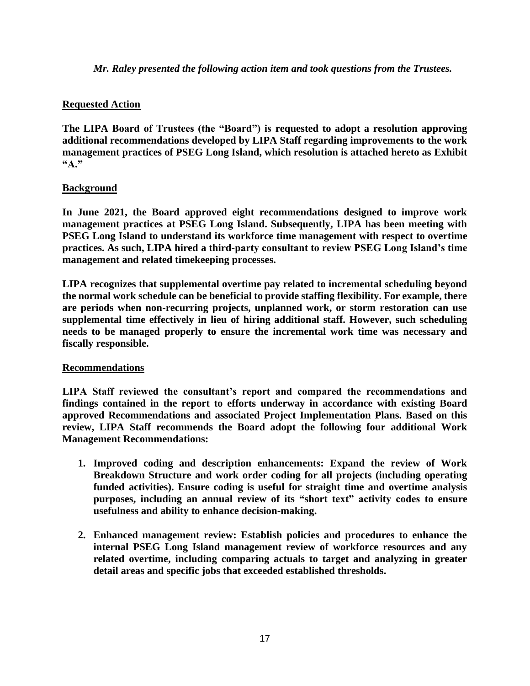*Mr. Raley presented the following action item and took questions from the Trustees.*

# **Requested Action**

**The LIPA Board of Trustees (the "Board") is requested to adopt a resolution approving additional recommendations developed by LIPA Staff regarding improvements to the work management practices of PSEG Long Island, which resolution is attached hereto as Exhibit "A."**

# **Background**

**In June 2021, the Board approved eight recommendations designed to improve work management practices at PSEG Long Island. Subsequently, LIPA has been meeting with PSEG Long Island to understand its workforce time management with respect to overtime practices. As such, LIPA hired a third-party consultant to review PSEG Long Island's time management and related timekeeping processes.**

**LIPA recognizes that supplemental overtime pay related to incremental scheduling beyond the normal work schedule can be beneficial to provide staffing flexibility. For example, there are periods when non-recurring projects, unplanned work, or storm restoration can use supplemental time effectively in lieu of hiring additional staff. However, such scheduling needs to be managed properly to ensure the incremental work time was necessary and fiscally responsible.**

# **Recommendations**

**LIPA Staff reviewed the consultant's report and compared the recommendations and findings contained in the report to efforts underway in accordance with existing Board approved Recommendations and associated Project Implementation Plans. Based on this review, LIPA Staff recommends the Board adopt the following four additional Work Management Recommendations:**

- **1. Improved coding and description enhancements: Expand the review of Work Breakdown Structure and work order coding for all projects (including operating funded activities). Ensure coding is useful for straight time and overtime analysis purposes, including an annual review of its "short text" activity codes to ensure usefulness and ability to enhance decision-making.**
- **2. Enhanced management review: Establish policies and procedures to enhance the internal PSEG Long Island management review of workforce resources and any related overtime, including comparing actuals to target and analyzing in greater detail areas and specific jobs that exceeded established thresholds.**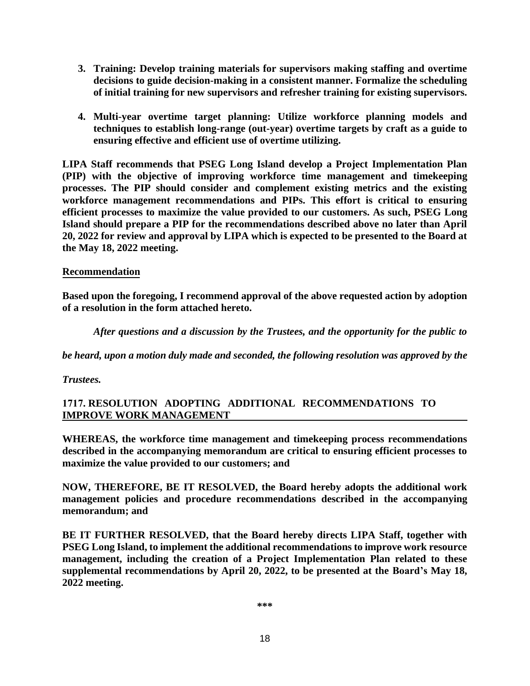- **3. Training: Develop training materials for supervisors making staffing and overtime decisions to guide decision-making in a consistent manner. Formalize the scheduling of initial training for new supervisors and refresher training for existing supervisors.**
- **4. Multi-year overtime target planning: Utilize workforce planning models and techniques to establish long-range (out-year) overtime targets by craft as a guide to ensuring effective and efficient use of overtime utilizing.**

**LIPA Staff recommends that PSEG Long Island develop a Project Implementation Plan (PIP) with the objective of improving workforce time management and timekeeping processes. The PIP should consider and complement existing metrics and the existing workforce management recommendations and PIPs. This effort is critical to ensuring efficient processes to maximize the value provided to our customers. As such, PSEG Long Island should prepare a PIP for the recommendations described above no later than April 20, 2022 for review and approval by LIPA which is expected to be presented to the Board at the May 18, 2022 meeting.** 

# **Recommendation**

**Based upon the foregoing, I recommend approval of the above requested action by adoption of a resolution in the form attached hereto.** 

*After questions and a discussion by the Trustees, and the opportunity for the public to* 

*be heard, upon a motion duly made and seconded, the following resolution was approved by the* 

*Trustees.* 

# **1717. RESOLUTION ADOPTING ADDITIONAL RECOMMENDATIONS TO IMPROVE WORK MANAGEMENT**

**WHEREAS, the workforce time management and timekeeping process recommendations described in the accompanying memorandum are critical to ensuring efficient processes to maximize the value provided to our customers; and**

**NOW, THEREFORE, BE IT RESOLVED, the Board hereby adopts the additional work management policies and procedure recommendations described in the accompanying memorandum; and**

**BE IT FURTHER RESOLVED, that the Board hereby directs LIPA Staff, together with PSEG Long Island, to implement the additional recommendations to improve work resource management, including the creation of a Project Implementation Plan related to these supplemental recommendations by April 20, 2022, to be presented at the Board's May 18, 2022 meeting.**

**\*\*\***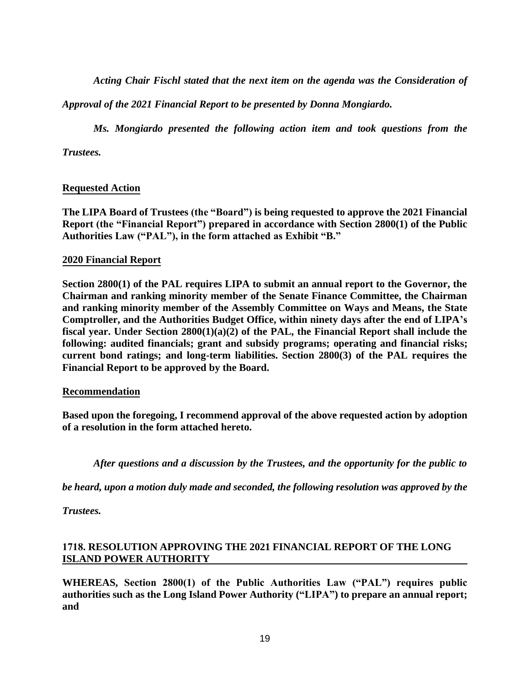*Acting Chair Fischl stated that the next item on the agenda was the Consideration of* 

*Approval of the 2021 Financial Report to be presented by Donna Mongiardo.* 

*Ms. Mongiardo presented the following action item and took questions from the* 

*Trustees.* 

# **Requested Action**

**The LIPA Board of Trustees (the "Board") is being requested to approve the 2021 Financial Report (the "Financial Report") prepared in accordance with Section 2800(1) of the Public Authorities Law ("PAL"), in the form attached as Exhibit "B."**

# **2020 Financial Report**

**Section 2800(1) of the PAL requires LIPA to submit an annual report to the Governor, the Chairman and ranking minority member of the Senate Finance Committee, the Chairman and ranking minority member of the Assembly Committee on Ways and Means, the State Comptroller, and the Authorities Budget Office, within ninety days after the end of LIPA's fiscal year. Under Section 2800(1)(a)(2) of the PAL, the Financial Report shall include the following: audited financials; grant and subsidy programs; operating and financial risks; current bond ratings; and long-term liabilities. Section 2800(3) of the PAL requires the Financial Report to be approved by the Board.** 

#### **Recommendation**

**Based upon the foregoing, I recommend approval of the above requested action by adoption of a resolution in the form attached hereto.** 

*After questions and a discussion by the Trustees, and the opportunity for the public to* 

*be heard, upon a motion duly made and seconded, the following resolution was approved by the* 

*Trustees.* 

# **1718. RESOLUTION APPROVING THE 2021 FINANCIAL REPORT OF THE LONG ISLAND POWER AUTHORITY**

**WHEREAS, Section 2800(1) of the Public Authorities Law ("PAL") requires public authorities such as the Long Island Power Authority ("LIPA") to prepare an annual report; and**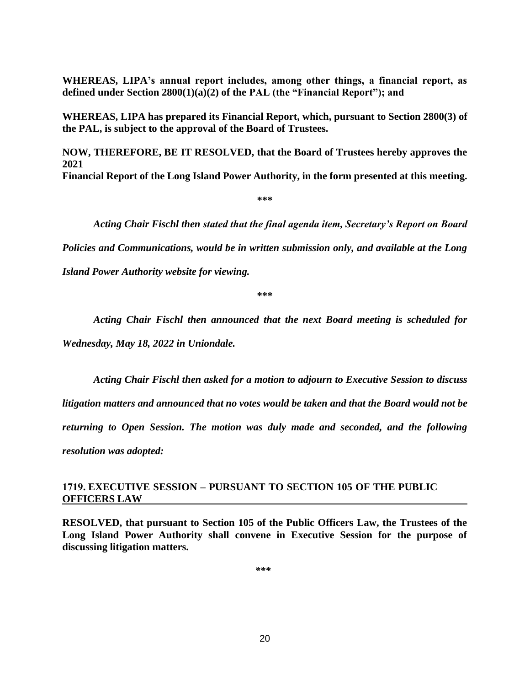**WHEREAS, LIPA's annual report includes, among other things, a financial report, as defined under Section 2800(1)(a)(2) of the PAL (the "Financial Report"); and**

**WHEREAS, LIPA has prepared its Financial Report, which, pursuant to Section 2800(3) of the PAL, is subject to the approval of the Board of Trustees.** 

**NOW, THEREFORE, BE IT RESOLVED, that the Board of Trustees hereby approves the 2021** 

**Financial Report of the Long Island Power Authority, in the form presented at this meeting.** 

**\*\*\*** 

*Acting Chair Fischl then stated that the final agenda item, Secretary's Report on Board* 

*Policies and Communications, would be in written submission only, and available at the Long* 

*Island Power Authority website for viewing.* 

**\*\*\*** 

*Acting Chair Fischl then announced that the next Board meeting is scheduled for* 

*Wednesday, May 18, 2022 in Uniondale.* 

*Acting Chair Fischl then asked for a motion to adjourn to Executive Session to discuss litigation matters and announced that no votes would be taken and that the Board would not be returning to Open Session. The motion was duly made and seconded, and the following resolution was adopted:* 

# **1719. EXECUTIVE SESSION – PURSUANT TO SECTION 105 OF THE PUBLIC OFFICERS LAW**

**RESOLVED, that pursuant to Section 105 of the Public Officers Law, the Trustees of the Long Island Power Authority shall convene in Executive Session for the purpose of discussing litigation matters.**

*\*\*\**